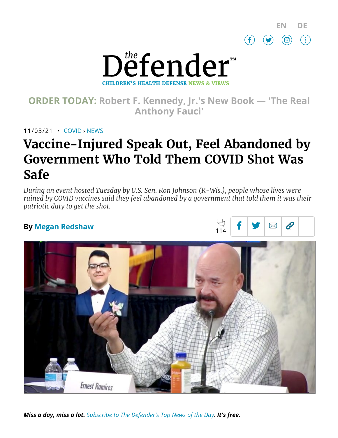

 $\boxtimes$   $\beta$ 



# **ORDER TODAY: Robert F. [Kennedy,](https://www.amazon.com/Real-Anthony-Fauci-Democracy-Childrens/dp/1510766804) Jr.'s New Book — 'The Real Anthony Fauci'**

11/03/21 • [COVID](https://childrenshealthdefense.org/defender_category/covid) › [NEWS](https://childrenshealthdefense.org/defender-news)

# **Vaccine-Injured Speak Out, Feel Abandoned by Government Who Told Them COVID Shot Was Safe**

*During an event hosted Tuesday by U.S. Sen. Ron Johnson (R-Wis.), people whose lives were ruined by COVID vaccines said they feel abandoned by a government that told them it was their patriotic duty to get the shot.*

兄

### **By Megan [Redshaw](https://childrenshealthdefense.org/authors/megan-redshaw/)**



*Miss a day, miss a lot. Subscribe to [The Defender's](https://childrenshealthdefense.org/about-us/sign-up/?utm_source=top_of_article&utm_medium=the_defender&utm_campaign=sign_ups) Top News of the Day. It's free.*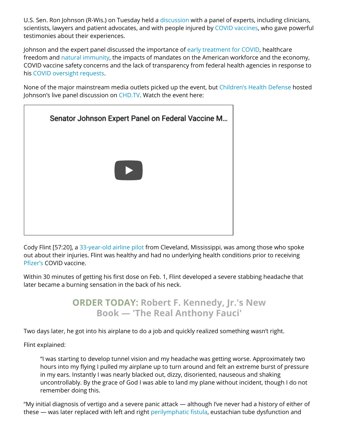U.S. Sen. Ron Johnson (R-Wis.) on Tuesday held a [discussion](https://childrenshealthdefense.org/defender/nov-2-sen-ron-johnson-cdh-covid-vaccine-injuries-federal-mandates/) with a panel of experts, including clinicians, scientists, lawyers and patient advocates, and with people injured by COVID [vaccines](https://childrenshealthdefense.org/defender_category/covid/), who gave powerful testimonies about their experiences.

Johnson and the expert panel discussed the importance of early [treatment](https://childrenshealthdefense.org/defender/nebraska-ag-doug-peterson-legal-opinion-ivermectin-hcq-covid/) for COVID, healthcare freedom and natural [immunity](https://childrenshealthdefense.org/defender/sen-rand-paul-sec-becerra-denying-natural-immunity/), the impacts of mandates on the American workforce and the economy, COVID vaccine safety concerns and the lack of transparency from federal health agencies in response to his COVID [oversight](https://childrenshealthdefense.org/defender/sen-ron-johnson-questions-fda-pfizer-vaccine-approval/) requests.

None of the major mainstream media outlets picked up the event, but [Children's](https://childrenshealthdefense.org/) Health Defense hosted Johnson's live panel discussion on [CHD.TV](https://live.childrenshealthdefense.org/sen-ron-johnson-to-hold-expert-panel-on-covid-vaccine-injuries-federal-vaccine-mandates). Watch the event here:



Cody Flint [57:20], a [33-year-old airline](https://rumble.com/vokrf7-sen.-johnson-expert-panel-on-federal-vaccine-mandates.html) pilot from Cleveland, Mississippi, was among those who spoke out about their injuries. Flint was healthy and had no underlying health conditions prior to receiving [Pfizer's](https://childrenshealthdefense.org/defender/brook-jackson-ventavia-research-group-pfizer-covid-vaccine-trial-data/) COVID vaccine.

Within 30 minutes of getting his first dose on Feb. 1, Flint developed a severe stabbing headache that later became a burning sensation in the back of his neck.

## **ORDER TODAY: Robert F. Kennedy, Jr.'s New Book — 'The [Real Anthony](https://www.amazon.com/Real-Anthony-Fauci-Democracy-Childrens/dp/1510766804) Fauci'**

Two days later, he got into his airplane to do a job and quickly realized something wasn't right.

Flint explained:

"I was starting to develop tunnel vision and my headache was getting worse. Approximately two hours into my flying I pulled my airplane up to turn around and felt an extreme burst of pressure in my ears. Instantly I was nearly blacked out, dizzy, disoriented, nauseous and shaking uncontrollably. By the grace of God I was able to land my plane without incident, though I do not remember doing this.

"My initial diagnosis of vertigo and a severe panic attack — although I've never had a history of either of these — was later replaced with left and right [perilymphatic fistula,](https://vestibular.org/article/diagnosis-treatment/types-of-vestibular-disorders/perilymph-fistula/) eustachian tube dysfunction and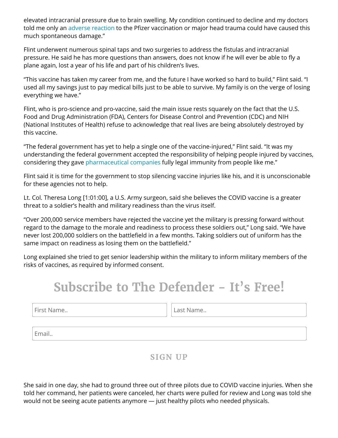elevated intracranial pressure due to brain swelling. My condition continued to decline and my doctors told me only an adverse [reaction](https://childrenshealthdefense.org/defender/vaers-cdc-deaths-injuries-covid-vaccines-fda-emergency-use-pfizer-kids/) to the Pfizer vaccination or major head trauma could have caused this much spontaneous damage."

Flint underwent numerous spinal taps and two surgeries to address the fistulas and intracranial pressure. He said he has more questions than answers, does not know if he will ever be able to fly a plane again, lost a year of his life and part of his children's lives.

"This vaccine has taken my career from me, and the future I have worked so hard to build," Flint said. "I used all my savings just to pay medical bills just to be able to survive. My family is on the verge of losing everything we have."

Flint, who is pro-science and pro-vaccine, said the main issue rests squarely on the fact that the U.S. Food and Drug Administration (FDA), Centers for Disease Control and Prevention (CDC) and NIH (National Institutes of Health) refuse to acknowledge that real lives are being absolutely destroyed by this vaccine.

"The federal government has yet to help a single one of the vaccine-injured," Flint said. "It was my understanding the federal government accepted the responsibility of helping people injured by vaccines, considering they gave [pharmaceutical](https://childrenshealthdefense.org/defender_category/big-pharma/) companies fully legal immunity from people like me."

Flint said it is time for the government to stop silencing vaccine injuries like his, and it is unconscionable for these agencies not to help.

Lt. Col. Theresa Long [1:01:00], a U.S. Army surgeon, said she believes the COVID vaccine is a greater threat to a soldier's health and military readiness than the virus itself.

"Over 200,000 service members have rejected the vaccine yet the military is pressing forward without regard to the damage to the morale and readiness to process these soldiers out," Long said. "We have never lost 200,000 soldiers on the battlefield in a few months. Taking soldiers out of uniform has the same impact on readiness as losing them on the battlefield."

Long explained she tried to get senior leadership within the military to inform military members of the risks of vaccines, as required by informed consent.

# **Subscribe to The Defender - It's Free!**

First Name.. **Last Name.. Last Name..** 

Email..

### **SIGN UP**

She said in one day, she had to ground three out of three pilots due to COVID vaccine injuries. When she told her command, her patients were canceled, her charts were pulled for review and Long was told she would not be seeing acute patients anymore — just healthy pilots who needed physicals.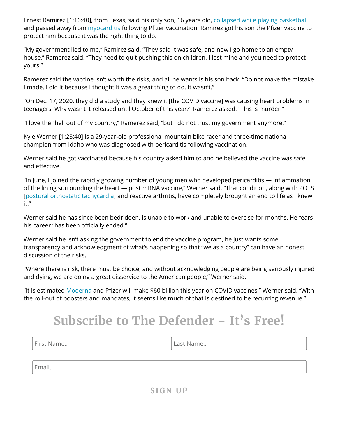Ernest Ramirez [1:16:40], from Texas, said his only son, 16 years old, [collapsed while](https://rumble.com/vokrf7-sen.-johnson-expert-panel-on-federal-vaccine-mandates.html) playing basketball and passed away from [myocarditis](https://childrenshealthdefense.org/defender/fda-moderna-pfizer-covid-vaccine-teens-myocarditis/) following Pfizer vaccination. Ramirez got his son the Pfizer vaccine to protect him because it was the right thing to do.

"My government lied to me," Ramirez said. "They said it was safe, and now I go home to an empty house," Ramerez said. "They need to quit pushing this on children. I lost mine and you need to protect yours."

Ramerez said the vaccine isn't worth the risks, and all he wants is his son back. "Do not make the mistake I made. I did it because I thought it was a great thing to do. It wasn't."

"On Dec. 17, 2020, they did a study and they knew it [the COVID vaccine] was causing heart problems in teenagers. Why wasn't it released until October of this year?" Ramerez asked. "This is murder."

"I love the "hell out of my country," Ramerez said, "but I do not trust my government anymore."

Kyle Werner [1:23:40] is a 29-year-old professional mountain bike racer and three-time national champion from Idaho who was diagnosed with pericarditis following vaccination.

Werner said he got vaccinated because his country asked him to and he believed the vaccine was safe and effective.

"In June, I joined the rapidly growing number of young men who developed pericarditis — inflammation of the lining surrounding the heart — post mRNA vaccine," Werner said. "That condition, along with POTS [postural [orthostatic tachycardia\]](https://www.hopkinsmedicine.org/health/conditions-and-diseases/postural-orthostatic-tachycardia-syndrome-pots) and reactive arthritis, have completely brought an end to life as I knew it."

Werner said he has since been bedridden, is unable to work and unable to exercise for months. He fears his career "has been officially ended."

Werner said he isn't asking the government to end the vaccine program, he just wants some transparency and acknowledgment of what's happening so that "we as a country" can have an honest discussion of the risks.

"Where there is risk, there must be choice, and without acknowledging people are being seriously injured and dying, we are doing a great disservice to the American people," Werner said.

"It is estimated [Moderna](https://childrenshealthdefense.org/defender/fda-moderna-pfizer-covid-vaccine-teens-myocarditis/) and Pfizer will make \$60 billion this year on COVID vaccines," Werner said. "With the roll-out of boosters and mandates, it seems like much of that is destined to be recurring revenue."

# **Subscribe to The Defender - It's Free!**

First Name.. **Last Name.. Last Name..** 

Email..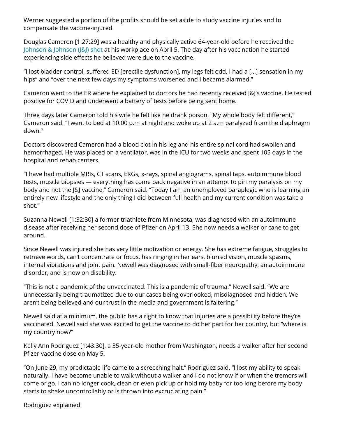Werner suggested a portion of the profits should be set aside to study vaccine injuries and to compensate the vaccine-injured.

Douglas Cameron [1:27:29] was a healthy and physically active 64-year-old before he received the Johnson [& Johnson](https://childrenshealthdefense.org/defender/jessica-berg-wilson-dies-covid-vaccine-twitter-censors-obituary/) (J&J) shot at his workplace on April 5. The day after his vaccination he started experiencing side effects he believed were due to the vaccine.

"I lost bladder control, suffered ED [erectile dysfunction], my legs felt odd, I had a […] sensation in my hips" and "over the next few days my symptoms worsened and I became alarmed."

Cameron went to the ER where he explained to doctors he had recently received J&J's vaccine. He tested positive for COVID and underwent a battery of tests before being sent home.

Three days later Cameron told his wife he felt like he drank poison. "My whole body felt different," Cameron said. "I went to bed at 10:00 p.m at night and woke up at 2 a.m paralyzed from the diaphragm down."

Doctors discovered Cameron had a blood clot in his leg and his entire spinal cord had swollen and hemorrhaged. He was placed on a ventilator, was in the ICU for two weeks and spent 105 days in the hospital and rehab centers.

"I have had multiple MRIs, CT scans, EKGs, x-rays, spinal angiograms, spinal taps, autoimmune blood tests, muscle biopsies — everything has come back negative in an attempt to pin my paralysis on my body and not the J&J vaccine," Cameron said. "Today I am an unemployed paraplegic who is learning an entirely new lifestyle and the only thing I did between full health and my current condition was take a shot."

Suzanna Newell [1:32:30] a former triathlete from Minnesota, was diagnosed with an autoimmune disease after receiving her second dose of Pfizer on April 13. She now needs a walker or cane to get around.

Since Newell was injured she has very little motivation or energy. She has extreme fatigue, struggles to retrieve words, can't concentrate or focus, has ringing in her ears, blurred vision, muscle spasms, internal vibrations and joint pain. Newell was diagnosed with small-fiber neuropathy, an autoimmune disorder, and is now on disability.

"This is not a pandemic of the unvaccinated. This is a pandemic of trauma." Newell said. "We are unnecessarily being traumatized due to our cases being overlooked, misdiagnosed and hidden. We aren't being believed and our trust in the media and government is faltering."

Newell said at a minimum, the public has a right to know that injuries are a possibility before they're vaccinated. Newell said she was excited to get the vaccine to do her part for her country, but "where is my country now?"

Kelly Ann Rodriguez [1:43:30], a 35-year-old mother from Washington, needs a walker after her second Pfizer vaccine dose on May 5.

"On June 29, my predictable life came to a screeching halt," Rodriguez said. "I lost my ability to speak naturally. I have become unable to walk without a walker and I do not know if or when the tremors will come or go. I can no longer cook, clean or even pick up or hold my baby for too long before my body starts to shake uncontrollably or is thrown into excruciating pain."

Rodriguez explained: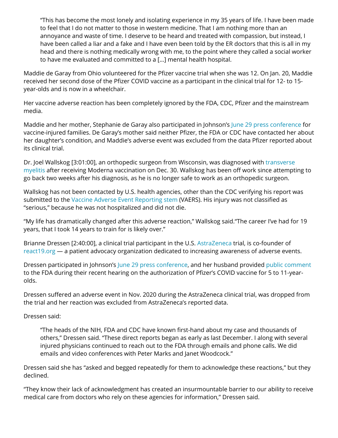"This has become the most lonely and isolating experience in my 35 years of life. I have been made to feel that I do not matter to those in western medicine. That I am nothing more than an annoyance and waste of time. I deserve to be heard and treated with compassion, but instead, I have been called a liar and a fake and I have even been told by the ER doctors that this is all in my head and there is nothing medically wrong with me, to the point where they called a social worker to have me evaluated and committed to a […] mental health hospital.

Maddie de Garay from Ohio volunteered for the Pfizer vaccine trial when she was 12. On Jan. 20, Maddie received her second dose of the Pfizer COVID vaccine as a participant in the clinical trial for 12- to 15 year-olds and is now in a wheelchair.

Her vaccine adverse reaction has been completely ignored by the FDA, CDC, Pfizer and the mainstream media.

Maddie and her mother, Stephanie de Garay also participated in Johnson's June 29 press [conference](https://childrenshealthdefense.org/defender/sen-johnson-ken-ruettgers-press-conference-families-injured-covid-vaccines/) for vaccine-injured families. De Garay's mother said neither Pfizer, the FDA or CDC have contacted her about her daughter's condition, and Maddie's adverse event was excluded from the data Pfizer reported about its clinical trial.

Dr. Joel Wallskog [3:01:00], an [orthopedic surgeon](https://www.hopkinsmedicine.org/neurology_neurosurgery/centers_clinics/transverse_myelitis/about-tm/what-is-transverse-myelitis.html#:~:text=Transverse%20Myelitis%20(TM)%20is%20a,sides%20of%20the%20spinal%20cord.) from Wisconsin, was diagnosed with transverse myelitis after receiving Moderna vaccination on Dec. 30. Wallskog has been off work since attempting to go back two weeks after his diagnosis, as he is no longer safe to work as an orthopedic surgeon.

Wallskog has not been contacted by U.S. health agencies, other than the CDC verifying his report was submitted to the Vaccine Adverse Event [Reporting](https://wonder.cdc.gov/vaers.html) stem (VAERS). His injury was not classified as "serious," because he was not hospitalized and did not die.

"My life has dramatically changed after this adverse reaction," Wallskog said."The career I've had for 19 years, that I took 14 years to train for is likely over."

Brianne Dressen [2:40:00], a clinical trial participant in the U.S. [AstraZeneca](https://childrenshealthdefense.org/defender/eu-possible-link-blood-clots-astrazeneca-vaccine/) trial, is co-founder of [react19.org](https://www.react19.org/) — a patient advocacy organization dedicated to increasing awareness of adverse events.

Dressen participated in Johnson's June 29 press [conference,](https://childrenshealthdefense.org/defender/sen-johnson-ken-ruettgers-press-conference-families-injured-covid-vaccines/) and her husband provided [public comment](https://childrenshealthdefense.org/defender/brian-dressen-brianne-covid-pfizer-vaccine-risk-benefit-calculus-children/) to the FDA during their recent hearing on the authorization of Pfizer's COVID vaccine for 5 to 11-yearolds.

Dressen suffered an adverse event in Nov. 2020 during the AstraZeneca clinical trial, was dropped from the trial and her reaction was excluded from AstraZeneca's reported data.

Dressen said:

"The heads of the NIH, FDA and CDC have known first-hand about my case and thousands of others," Dressen said. "These direct reports began as early as last December. I along with several injured physicians continued to reach out to the FDA through emails and phone calls. We did emails and video conferences with Peter Marks and Janet Woodcock."

Dressen said she has "asked and begged repeatedly for them to acknowledge these reactions," but they declined.

"They know their lack of acknowledgment has created an insurmountable barrier to our ability to receive medical care from doctors who rely on these agencies for information," Dressen said.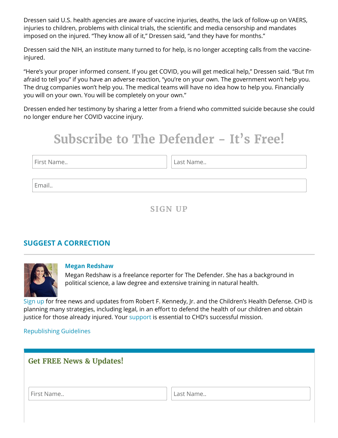Dressen said U.S. health agencies are aware of vaccine injuries, deaths, the lack of follow-up on VAERS, injuries to children, problems with clinical trials, the scientific and media censorship and mandates imposed on the injured. "They know all of it," Dressen said, "and they have for months."

Dressen said the NIH, an institute many turned to for help, is no longer accepting calls from the vaccineinjured.

"Here's your proper informed consent. If you get COVID, you will get medical help," Dressen said. "But I'm afraid to tell you" if you have an adverse reaction, "you're on your own. The government won't help you. The drug companies won't help you. The medical teams will have no idea how to help you. Financially you will on your own. You will be completely on your own."

Dressen ended her testimony by sharing a letter from a friend who committed suicide because she could no longer endure her COVID vaccine injury.

# **Subscribe to The Defender - It's Free!**

First Name.. **Last Name..** Last Name..

Email..

**SIGN UP**

### **SUGGEST A [CORRECTION](https://childrenshealthdefense.org/suggest-a-correction/)**



#### **Megan [Redshaw](https://childrenshealthdefense.org/authors/megan-redshaw/)**

Megan Redshaw is a freelance reporter for The Defender. She has a background in political science, a law degree and extensive training in natural health.

[Sign](https://childrenshealthdefense.org/about-us/sign-up/) up for free news and updates from Robert F. Kennedy, Jr. and the Children's Health Defense. CHD is planning many strategies, including legal, in an effort to defend the health of our children and obtain justice for those already injured. Your [support](https://childrenshealthdefense.org/about-us/donate/) is essential to CHD's successful mission.

### [Republishing](https://childrenshealthdefense.org/uncategorized/re-publishing-guidelines/) Guidelines

| <b>Get FREE News &amp; Updates!</b> |           |
|-------------------------------------|-----------|
| First Name                          | Last Name |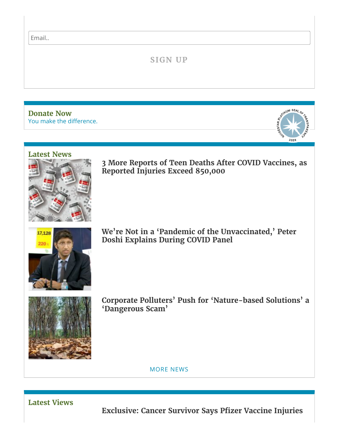Email..

## **SIGN UP**

You make the [difference.](https://childrenshealthdefense.org/about-us/donate) **[Donate](https://childrenshealthdefense.org/about-us/donate) Now**



#### **[Latest](https://childrenshealthdefense.org/defender-news) News**



**3 More Reports of Teen Deaths After COVID Vaccines, as Reported [Injuries Exceed](https://childrenshealthdefense.org/defender/vaers-cdc-adverse-events-deaths-covid-vaccines/) 850,000**



**We're Not in a 'Pandemic of the Unvaccinated, ' Peter Doshi [Explains During](https://childrenshealthdefense.org/defender/peter-doshi-restev-levi-covid-vaccines-trial-data/) COVID Panel**



**Corporate Polluters' Push for 'Nature-based Solutions' a ['Dangerous Scam'](https://childrenshealthdefense.org/defender/nature-based-solutions-corporate-polluters-fossil-fuels/)**

[MORE](https://childrenshealthdefense.org/defender-news) NEWS

**[Latest](https://childrenshealthdefense.org/defender-views) Views**

**Exclusive: Cancer Survivor [Says Pfizer](https://childrenshealthdefense.org/defender/diane-ochoa-guillain-barre-pfizer-covid-vaccine-injuries/) Vaccine Injuries**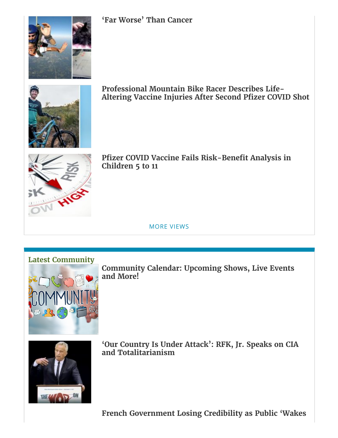

**'Far [Worse'](https://childrenshealthdefense.org/defender/diane-ochoa-guillain-barre-pfizer-covid-vaccine-injuries/) Than Cancer**



**Professional Mountain Bike Racer [Describes Life-](https://childrenshealthdefense.org/defender/kyle-warner-vaccine-injuries-pfizer-covid-shot/)Altering Vaccine Injuries After Second Pfizer COVID Shot**



**Pfizer COVID Vaccine [Fails Risk-Benefit](https://childrenshealthdefense.org/defender/fda-pfizer-covid-vaccine-risk-benefit-analysis-nntv-children/) Analysis in Children 5 to 11**

MORE [VIEWS](https://childrenshealthdefense.org/defender-views)



**[Community](https://live.childrenshealthdefense.org/community/community-calendar) Calendar: Upcoming Shows, Live Events and More!**



**'Our Country Is Under Attack': RFK, Jr. Speaks on CIA and [Totalitarianism](https://childrenshealthdefense.org/defender/rfk-jr-defender-chd-cia-totalitarianism-us-constitution/)**

**French [Government](https://childrenshealthdefense.org/defender/chd-tv-world-amanda-forbes-leo-sojli-france-pandemic-response-policies/) Losing Credibility as Public 'Wakes**